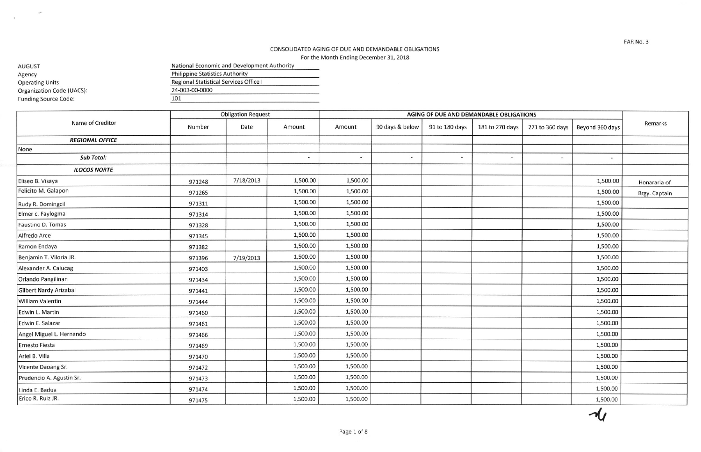## CONSOLIDATED AGING OF DUE AND OEMANDAELE OBLIGATIONS For the Month Ending December 31, 2018

AUGUST **National Economic and Development Authority** National Economic and Development Authority Agency Operating Units organization Code (UACS) Funding source Code: Philippine Statistics Authority Regional statistical Services Office <sup>I</sup> 24,003-00-0000 101

 $\leq 2$ 

 $\sim$ 

Obligation Request **AGING OF DUE AND DEMANDABLE OBLIGATIONS** Name of Creditor **Name of Creditor Name of Creditor** and Creditor **Name of Creditor Amount** Number  $\vert$  Date  $\vert$  Amount  $\vert$  Amount 90 days & below 91 to 180 days 181 to 270 days 271 to 360 days Beyond 360 days  $\vert$  Remarks Amount 90 days & below 91 to 180 days 181 to 270 days 271 to 360 days **REGIONAL OFFICE** None sub Totol:  $\overline{a}$  $\overline{a}$  $\overline{\phantom{a}}$  $\overline{\phantom{a}}$  $\sim$  $\sim$  $\overline{a}$ ILOCOS NORTE 971248 Eliseo B. Visaya 971248 7/18/2013 | 1,500.00 | 1,500.00 Honararia of Felicito M. Galapon 1,500.00 971265 971265 971265 1,500.00 1,500.00 1,500.00 1,500.00 1,500.00 Brgy. Captair I Rudy R. Domingcil 1,500.00 1,500.00 1,500.00 1,500.00 1,500.00 1,500.00 1,500.00 1,500.00 1,500.00 1,500.00 1,500 Elmerc- Faylogma 9t1314 1,500.00 1,500.00 1,500.00 971328 Faustino D. Tomas 971328 1,500.00 | 1,500.00 Alfredo Arce 977345 1,500.00 1,500.00 1,500.00 |-- Ramon Endaya 971382 1,500.00 1,500.00 1,500.00 Benjamin T. Viloria JR. 971396 7/19/201.3 1,500.00 1,500.00 1,500.00 Alexander A. Calucag 2012 1,500.00 1,500.00 1,500.00 1,500.00 1,500.00 1,500.00 1,500.00 1,500.00 1,500.00 1,500 orlando Pangilinan 971434 1,500.00 1,500.00 1,500.00 Gilbert Nardy Arizabal 977447 1,s00.00 1,500.00 1,s00.00 william Valentin 977444 1,500.00 1,500.00 1,500.00 Edwin L. Martin 971460 | 1,500.00 | 1,500.00 | 1,500.00 | 1,500.00 | 1,500.00 | 1,500.00 | 1,500.00 | 1,500.00 | 1,500.00 | 1, Edwin E. Salazar 97L461 1,500.00 1,500.00 1,500.00 Angel Miguel t. Hernando 911466 1,500.00 1,500.00 1,500.00 Ernesto Fiesta | 971469 | | 1,500.00 | | | 1,500.00 Ariel B. Villa 917410 1,500.@ 1,500.00 1,500.00 Vicente Daoang Sr. 971472 1,500.00 1,500.00 1,500.00 Prudencio A. Agustin Sr. | 971473 | | 1,500.00 | 1,500.00 tinda E. Badua 971474 1,500.00 1,500.00 1,500.00 Erico R. Ruiz JR 971475 1,500.00 1,500.00 1,500.00

FAR No.3

 $\overline{\mathcal{U}}$